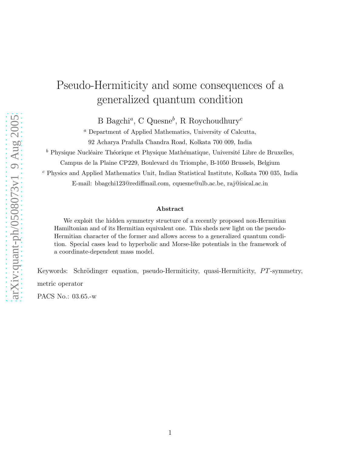## Pseudo-Hermiticity and some consequences of a generalized quantum condition

B Bagchi<sup>a</sup>, C Quesne<sup>b</sup>, R Roychoudhury<sup>c</sup>

<sup>a</sup> Department of Applied Mathematics, University of Calcutta, 92 Acharya Prafulla Chandra Road, Kolkata 700 009, India

 $^b$  Physique Nucléaire Théorique et Physique Mathématique, Université Libre de Bruxelles,

Campus de la Plaine CP229, Boulevard du Triomphe, B-1050 Brussels, Belgium

<sup>c</sup> Physics and Applied Mathematics Unit, Indian Statistical Institute, Kolkata 700 035, India

E-mail: bbagchi123@rediffmail.com, cquesne@ulb.ac.be, raj@isical.ac.in

## Abstract

We exploit the hidden symmetry structure of a recently proposed non-Hermitian Hamiltonian and of its Hermitian equivalent one. This sheds new light on the pseudo-Hermitian character of the former and allows access to a generalized quantum condition. Special cases lead to hyperbolic and Morse-like potentials in the framework of a coordinate-dependent mass model.

Keywords: Schrödinger equation, pseudo-Hermiticity, quasi-Hermiticity, PT-symmetry, metric operator

PACS No.: 03.65.-w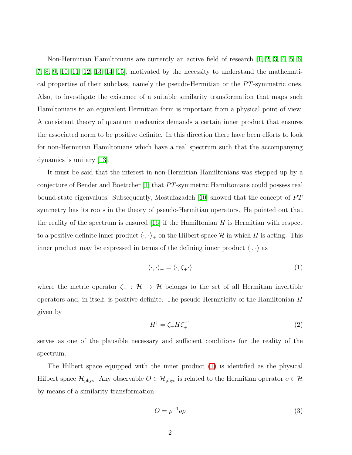Non-Hermitian Hamiltonians are currently an active field of research [\[1,](#page-8-0) [2,](#page-8-1) [3,](#page-8-2) [4,](#page-8-3) [5,](#page-8-4) [6,](#page-8-5) [7,](#page-8-6) [8,](#page-8-7) [9,](#page-8-8) [10,](#page-8-9) [11,](#page-8-10) [12,](#page-8-11) [13,](#page-8-12) [14,](#page-8-13) [15\]](#page-8-14), motivated by the necessity to understand the mathematical properties of their subclass, namely the pseudo-Hermitian or the  $PT$ -symmetric ones. Also, to investigate the existence of a suitable similarity transformation that maps such Hamiltonians to an equivalent Hermitian form is important from a physical point of view. A consistent theory of quantum mechanics demands a certain inner product that ensures the associated norm to be positive definite. In this direction there have been efforts to look for non-Hermitian Hamiltonians which have a real spectrum such that the accompanying dynamics is unitary [\[13\]](#page-8-12).

It must be said that the interest in non-Hermitian Hamiltonians was stepped up by a conjecture of Bender and Boettcher [\[1\]](#page-8-0) that PT-symmetric Hamiltonians could possess real bound-state eigenvalues. Subsequently, Mostafazadeh  $[10]$  showed that the concept of  $PT$ symmetry has its roots in the theory of pseudo-Hermitian operators. He pointed out that the reality of the spectrum is ensured  $|16|$  if the Hamiltonian H is Hermitian with respect to a positive-definite inner product  $\langle \cdot, \cdot \rangle_+$  on the Hilbert space H in which H is acting. This inner product may be expressed in terms of the defining inner product  $\langle \cdot, \cdot \rangle$  as

<span id="page-1-0"></span>
$$
\langle \cdot, \cdot \rangle_+ = \langle \cdot, \zeta_+ \cdot \rangle \tag{1}
$$

where the metric operator  $\zeta_+ : \mathcal{H} \to \mathcal{H}$  belongs to the set of all Hermitian invertible operators and, in itself, is positive definite. The pseudo-Hermiticity of the Hamiltonian  $H$ given by

$$
H^{\dagger} = \zeta_{+} H \zeta_{+}^{-1} \tag{2}
$$

serves as one of the plausible necessary and sufficient conditions for the reality of the spectrum.

The Hilbert space equipped with the inner product [\(1\)](#page-1-0) is identified as the physical Hilbert space  $\mathcal{H}_{\text{phys}}$ . Any observable  $O \in \mathcal{H}_{\text{phys}}$  is related to the Hermitian operator  $o \in \mathcal{H}$ by means of a similarity transformation

$$
O = \rho^{-1} o \rho \tag{3}
$$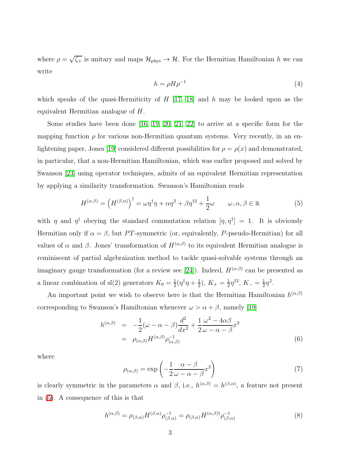where  $\rho = \sqrt{\zeta_{+}}$  is unitary and maps  $\mathcal{H}_{\text{phys}} \to \mathcal{H}$ . For the Hermitian Hamiltonian h we can write

<span id="page-2-3"></span>
$$
h = \rho H \rho^{-1} \tag{4}
$$

which speaks of the quasi-Hermiticity of  $H$  [\[17,](#page-8-16) [18\]](#page-8-17) and  $h$  may be looked upon as the equivalent Hermitian analogue of H.

Some studies have been done [\[16,](#page-8-15) [19,](#page-8-18) [20,](#page-9-0) [21,](#page-9-1) [22\]](#page-9-2) to arrive at a specific form for the mapping function  $\rho$  for various non-Hermitian quantum systems. Very recently, in an en-lightening paper, Jones [\[19\]](#page-8-18) considered different possibilities for  $\rho = \rho(x)$  and demonstrated, in particular, that a non-Hermitian Hamiltonian, which was earlier proposed and solved by Swanson [\[23\]](#page-9-3) using operator techniques, admits of an equivalent Hermitian representation by applying a similarity transformation. Swanson's Hamiltonian reads

$$
H^{(\alpha,\beta)} = (H^{(\beta,\alpha)})^{\dagger} = \omega \eta^{\dagger} \eta + \alpha \eta^2 + \beta \eta^{\dagger 2} + \frac{1}{2} \omega \qquad \omega, \alpha, \beta \in \mathbb{R}
$$
 (5)

<span id="page-2-0"></span>with  $\eta$  and  $\eta^{\dagger}$  obeying the standard commutation relation  $[\eta, \eta^{\dagger}] = 1$ . It is obviously Hermitian only if  $\alpha = \beta$ , but PT-symmetric (or, equivalently, P-pseudo-Hermitian) for all values of  $\alpha$  and  $\beta$ . Jones' transformation of  $H^{(\alpha,\beta)}$  to its equivalent Hermitian analogue is reminiscent of partial algebraization method to tackle quasi-solvable systems through an imaginary gauge transformation (for a review see [\[24\]](#page-9-4)). Indeed,  $H^{(\alpha,\beta)}$  can be presented as a linear combination of sl(2) generators  $K_0 = \frac{1}{2}$  $\frac{1}{2}(\eta^{\dagger}\eta + \frac{1}{2})$  $(\frac{1}{2}), K_+ = \frac{1}{2}$  $\frac{1}{2}\eta^{\dagger 2}$ ,  $K_{-}=\frac{1}{2}$  $\frac{1}{2}\eta^2$ .

<span id="page-2-1"></span>An important point we wish to observe here is that the Hermitian Hamiltonian  $h^{(\alpha,\beta)}$ corresponding to Swanson's Hamiltonian whenever  $\omega > \alpha + \beta$ , namely [\[19\]](#page-8-18)

<span id="page-2-2"></span>
$$
h^{(\alpha,\beta)} = -\frac{1}{2}(\omega - \alpha - \beta)\frac{d^2}{dx^2} + \frac{1}{2}\frac{\omega^2 - 4\alpha\beta}{\omega - \alpha - \beta}x^2
$$
  

$$
= \rho_{(\alpha,\beta)}H^{(\alpha,\beta)}\rho_{(\alpha,\beta)}^{-1}
$$
(6)

where

$$
\rho_{(\alpha,\beta)} = \exp\left(-\frac{1}{2}\frac{\alpha-\beta}{\omega-\alpha-\beta}x^2\right) \tag{7}
$$

<span id="page-2-4"></span>is clearly symmetric in the parameters  $\alpha$  and  $\beta$ , i.e.,  $h^{(\alpha,\beta)} = h^{(\beta,\alpha)}$ , a feature not present in [\(5\)](#page-2-0). A consequence of this is that

$$
h^{(\alpha,\beta)} = \rho_{(\beta,\alpha)} H^{(\beta,\alpha)} \rho_{(\beta,\alpha)}^{-1} = \rho_{(\beta,\alpha)} H^{(\alpha,\beta)\dagger} \rho_{(\beta,\alpha)}^{-1}
$$
(8)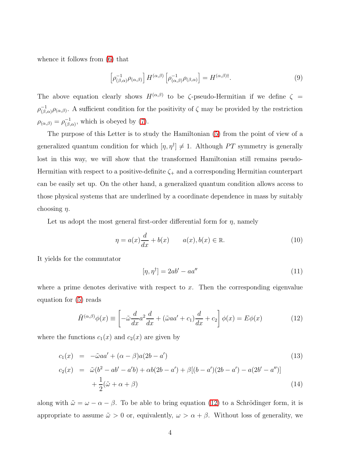whence it follows from [\(6\)](#page-2-1) that

$$
\left[\rho_{(\beta,\alpha)}^{-1}\rho_{(\alpha,\beta)}\right]H^{(\alpha,\beta)}\left[\rho_{(\alpha,\beta)}^{-1}\rho_{(\beta,\alpha)}\right] = H^{(\alpha,\beta)\dagger}.
$$
\n(9)

The above equation clearly shows  $H^{(\alpha,\beta)}$  to be  $\zeta$ -pseudo-Hermitian if we define  $\zeta$  =  $\rho_{\ell\beta}^{-1}$  $\zeta_{(\beta,\alpha)}^{-1}$   $\rho_{(\alpha,\beta)}$ . A sufficient condition for the positivity of  $\zeta$  may be provided by the restriction  $\rho_{(\alpha,\beta)} = \rho_{(\beta)}^{-1}$  $\overline{(\beta,\alpha)}$ , which is obeyed by [\(7\)](#page-2-2).

The purpose of this Letter is to study the Hamiltonian [\(5\)](#page-2-0) from the point of view of a generalized quantum condition for which  $[\eta, \eta^{\dagger}] \neq 1$ . Although PT symmetry is generally lost in this way, we will show that the transformed Hamiltonian still remains pseudo-Hermitian with respect to a positive-definite  $\zeta_{+}$  and a corresponding Hermitian counterpart can be easily set up. On the other hand, a generalized quantum condition allows access to those physical systems that are underlined by a coordinate dependence in mass by suitably choosing  $\eta$ .

<span id="page-3-1"></span>Let us adopt the most general first-order differential form for  $\eta$ , namely

<span id="page-3-3"></span>
$$
\eta = a(x)\frac{d}{dx} + b(x) \qquad a(x), b(x) \in \mathbb{R}.\tag{10}
$$

It yields for the commutator

$$
[\eta, \eta^{\dagger}] = 2ab' - aa'' \tag{11}
$$

<span id="page-3-0"></span>where a prime denotes derivative with respect to  $x$ . Then the corresponding eigenvalue equation for [\(5\)](#page-2-0) reads

$$
\tilde{H}^{(\alpha,\beta)}\phi(x) \equiv \left[ -\tilde{\omega}\frac{d}{dx}a^2\frac{d}{dx} + (\tilde{\omega}aa' + c_1)\frac{d}{dx} + c_2 \right] \phi(x) = E\phi(x)
$$
\n(12)

<span id="page-3-2"></span>where the functions  $c_1(x)$  and  $c_2(x)$  are given by

$$
c_1(x) = -\tilde{\omega}aa' + (\alpha - \beta)a(2b - a')
$$
\n
$$
c_2(x) = \tilde{\omega}(b^2 - ab' - a'b) + \alpha b(2b - a') + \beta[(b - a')(2b - a') - a(2b' - a'')]
$$
\n
$$
+ \frac{1}{2}(\tilde{\omega} + \alpha + \beta)
$$
\n(14)

along with  $\tilde{\omega} = \omega - \alpha - \beta$ . To be able to bring equation [\(12\)](#page-3-0) to a Schrödinger form, it is appropriate to assume  $\tilde{\omega} > 0$  or, equivalently,  $\omega > \alpha + \beta$ . Without loss of generality, we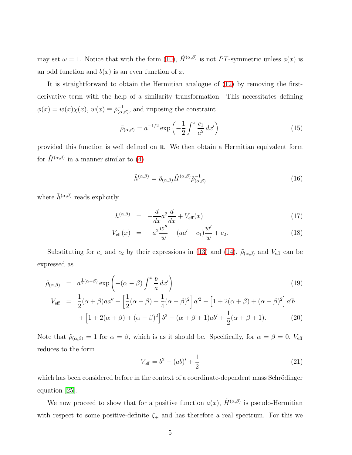may set  $\tilde{\omega} = 1$ . Notice that with the form [\(10\)](#page-3-1),  $\tilde{H}^{(\alpha,\beta)}$  is not PT-symmetric unless  $a(x)$  is an odd function and  $b(x)$  is an even function of x.

It is straightforward to obtain the Hermitian analogue of [\(12\)](#page-3-0) by removing the firstderivative term with the help of a similarity transformation. This necessitates defining  $\phi(x) = w(x)\chi(x), w(x) \equiv \tilde{\rho}_{(\alpha)}^{-1}$  $\frac{1}{(\alpha,\beta)}$ , and imposing the constraint

$$
\tilde{\rho}_{(\alpha,\beta)} = a^{-1/2} \exp\left(-\frac{1}{2} \int^x \frac{c_1}{a^2} dx'\right) \tag{15}
$$

provided this function is well defined on R. We then obtain a Hermitian equivalent form for  $\tilde{H}^{(\alpha,\beta)}$  in a manner similar to [\(4\)](#page-2-3):

$$
\tilde{h}^{(\alpha,\beta)} = \tilde{\rho}_{(\alpha,\beta)} \tilde{H}^{(\alpha,\beta)} \tilde{\rho}_{(\alpha,\beta)}^{-1}
$$
\n(16)

<span id="page-4-0"></span>where  $\tilde{h}^{(\alpha,\beta)}$  reads explicitly

$$
\tilde{h}^{(\alpha,\beta)} = -\frac{d}{dx}a^2\frac{d}{dx} + V_{\text{eff}}(x) \tag{17}
$$

$$
V_{\text{eff}}(x) = -a^2 \frac{w''}{w} - (aa' - c_1) \frac{w'}{w} + c_2.
$$
 (18)

Substituting for  $c_1$  and  $c_2$  by their expressions in [\(13\)](#page-3-2) and [\(14\)](#page-3-2),  $\tilde{\rho}_{(\alpha,\beta)}$  and  $V_{\text{eff}}$  can be expressed as

<span id="page-4-1"></span>
$$
\tilde{\rho}_{(\alpha,\beta)} = a^{\frac{1}{2}(\alpha-\beta)} \exp\left(-(\alpha-\beta)\int^x \frac{b}{a} dx'\right)
$$
\n(19)

$$
V_{\text{eff}} = \frac{1}{2}(\alpha + \beta)aa'' + \left[\frac{1}{2}(\alpha + \beta) + \frac{1}{4}(\alpha - \beta)^2\right]a'^2 - \left[1 + 2(\alpha + \beta) + (\alpha - \beta)^2\right]a'b + \left[1 + 2(\alpha + \beta) + (\alpha - \beta)^2\right]b^2 - (\alpha + \beta + 1)ab' + \frac{1}{2}(\alpha + \beta + 1).
$$
 (20)

Note that  $\tilde{\rho}_{(\alpha,\beta)} = 1$  for  $\alpha = \beta$ , which is as it should be. Specifically, for  $\alpha = \beta = 0$ ,  $V_{\text{eff}}$ reduces to the form

$$
V_{\text{eff}} = b^2 - (ab)' + \frac{1}{2}
$$
 (21)

which has been considered before in the context of a coordinate-dependent mass Schrödinger equation [\[25\]](#page-9-5).

We now proceed to show that for a positive function  $a(x)$ ,  $\tilde{H}^{(\alpha,\beta)}$  is pseudo-Hermitian with respect to some positive-definite  $\zeta_{+}$  and has therefore a real spectrum. For this we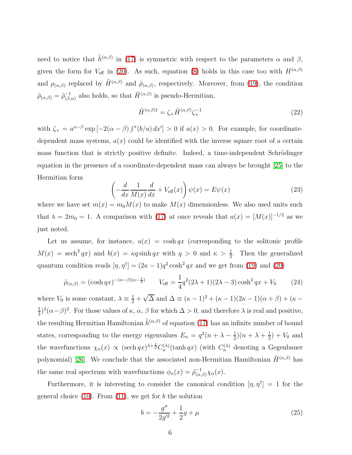need to notice that  $\tilde{h}^{(\alpha,\beta)}$  in [\(17\)](#page-4-0) is symmetric with respect to the parameters  $\alpha$  and  $\beta$ , given the form for  $V_{\text{eff}}$  in [\(20\)](#page-4-1). As such, equation [\(8\)](#page-2-4) holds in this case too with  $H^{(\alpha,\beta)}$ and  $\rho_{(\alpha,\beta)}$  replaced by  $\tilde{H}^{(\alpha,\beta)}$  and  $\tilde{\rho}_{(\alpha,\beta)}$ , respectively. Moreover, from [\(19\)](#page-4-1), the condition  $\tilde{\rho}_{(\alpha,\beta)} = \tilde{\rho}_{(\beta)}^{-1}$  $\overline{H}^{(1)}_{(\beta,\alpha)}$  also holds, so that  $\tilde{H}^{(\alpha,\beta)}$  is pseudo-Hermitian,

$$
\tilde{H}^{(\alpha,\beta)\dagger} = \zeta_{+}\tilde{H}^{(\alpha,\beta)}\zeta_{+}^{-1}
$$
\n(22)

with  $\zeta_+ = a^{\alpha-\beta} \exp \left[ -2(\alpha-\beta) \int^x (b/a) dx' \right] > 0$  if  $a(x) > 0$ . For example, for coordinatedependent mass systems,  $a(x)$  could be identified with the inverse square root of a certain mass function that is strictly positive definite. Indeed, a time-independent Schrödinger equation in the presence of a coordinate-dependent mass can always be brought [\[25\]](#page-9-5) to the Hermitian form

$$
\left(-\frac{d}{dx}\frac{1}{M(x)}\frac{d}{dx} + V_{\text{eff}}(x)\right)\psi(x) = E\psi(x)
$$
\n(23)

where we have set  $m(x) = m_0 M(x)$  to make  $M(x)$  dimensionless. We also used units such that  $h = 2m_0 = 1$ . A comparison with [\(17\)](#page-4-0) at once reveals that  $a(x) = [M(x)]^{-1/2}$  as we just noted.

Let us assume, for instance,  $a(x) = \cosh qx$  (corresponding to the solitonic profile  $M(x) = \operatorname{sech}^{2} qx$  and  $b(x) = \kappa q \sinh qx$  with  $q > 0$  and  $\kappa > \frac{1}{2}$ . Then the generalized quantum condition reads  $[\eta, \eta^{\dagger}] = (2\kappa - 1)q^2 \cosh^2 qx$  and we get from [\(19\)](#page-4-1) and [\(20\)](#page-4-1)

$$
\tilde{\rho}_{(\alpha,\beta)} = (\cosh qx)^{-(\alpha-\beta)(\kappa-\frac{1}{2})} \qquad V_{\text{eff}} = \frac{1}{4}q^2(2\lambda+1)(2\lambda-3)\cosh^2 qx + V_0 \qquad (24)
$$

where  $V_0$  is some constant,  $\lambda = \frac{1}{2} + \sqrt{\Delta}$  and  $\Delta = (\kappa - 1)^2 + (\kappa - 1)(2\kappa - 1)(\alpha + \beta) + (\kappa - 1)(\alpha + \beta)$ 1  $\frac{1}{2}$ )<sup>2</sup>( $\alpha-\beta$ )<sup>2</sup>. For those values of  $\kappa$ ,  $\alpha$ ,  $\beta$  for which  $\Delta > 0$ , and therefore  $\lambda$  is real and positive, the resulting Hermitian Hamiltonian  $\tilde{h}^{(\alpha,\beta)}$  of equation [\(17\)](#page-4-0) has an infinite number of bound states, corresponding to the energy eigenvalues  $E_n = q^2(n + \lambda - \frac{1}{2})$  $(\frac{1}{2})(n + \lambda + \frac{1}{2})$  $(\frac{1}{2}) + V_0$  and the wavefunctions  $\chi_n(x) \propto (\text{sech } qx)^{\lambda + \frac{1}{2}} C_n^{(\lambda)}(\tanh qx)$  (with  $C_n^{(\lambda)}$  denoting a Gegenbauer polynomial) [\[26\]](#page-9-6). We conclude that the associated non-Hermitian Hamiltonian  $\tilde{H}^{(\alpha,\beta)}$  has the same real spectrum with wavefunctions  $\phi_n(x) = \tilde{\rho}_{(\alpha,\beta)}^{-1} \chi_n(x)$ .

Furthermore, it is interesting to consider the canonical condition  $[\eta, \eta^{\dagger}] = 1$  for the general choice  $(10)$ . From  $(11)$ , we get for b the solution

<span id="page-5-0"></span>
$$
b = -\frac{g''}{2g'^2} + \frac{1}{2}g + \mu
$$
\n(25)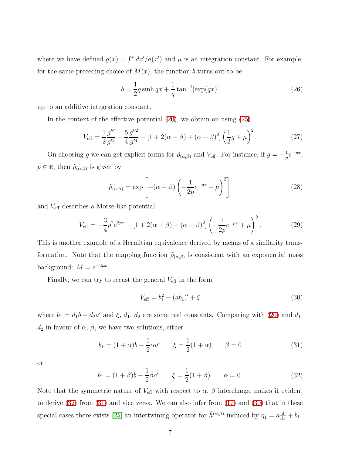where we have defined  $g(x) = \int^x dx'/a(x')$  and  $\mu$  is an integration constant. For example, for the same preceding choice of  $M(x)$ , the function b turns out to be

$$
b = \frac{1}{2}q\sinh qx + \frac{1}{q}\tan^{-1}[\exp(qx)]
$$
 (26)

up to an additive integration constant.

In the context of the effective potential  $(20)$ , we obtain on using  $(25)$ 

$$
V_{\text{eff}} = \frac{1}{2} \frac{g'''}{g'^3} - \frac{5}{4} \frac{g''^2}{g'^4} + \left[1 + 2(\alpha + \beta) + (\alpha - \beta)^2\right] \left(\frac{1}{2}g + \mu\right)^2. \tag{27}
$$

On choosing g we can get explicit forms for  $\tilde{\rho}_{(\alpha,\beta)}$  and  $V_{\text{eff}}$ . For instance, if  $g = -\frac{1}{p}$  $\frac{1}{p}e^{-px}$ ,  $p \in \mathbb{R}$ , then  $\tilde{\rho}_{(\alpha,\beta)}$  is given by

$$
\tilde{\rho}_{(\alpha,\beta)} = \exp\left[ -(\alpha - \beta) \left( -\frac{1}{2p} e^{-px} + \mu \right)^2 \right] \tag{28}
$$

and Veff describes a Morse-like potential

$$
V_{\text{eff}} = -\frac{3}{4}p^2 e^{2px} + [1 + 2(\alpha + \beta) + (\alpha - \beta)^2] \left( -\frac{1}{2p} e^{-px} + \mu \right)^2.
$$
 (29)

This is another example of a Hermitian equivalence derived by means of a similarity transformation. Note that the mapping function  $\tilde{\rho}_{(\alpha,\beta)}$  is consistent with an exponential mass background:  $M = e^{-2px}$ .

Finally, we can try to recast the general  $V_{\text{eff}}$  in the form

<span id="page-6-2"></span>
$$
V_{\text{eff}} = b_1^2 - (ab_1)' + \xi \tag{30}
$$

<span id="page-6-1"></span>where  $b_1 = d_1b + d_2a'$  and  $\xi$ ,  $d_1$ ,  $d_2$  are some real constants. Comparing with [\(20\)](#page-4-1) and  $d_1$ ,  $d_2$  in favour of  $\alpha$ ,  $\beta$ , we have two solutions, either

$$
b_1 = (1 + \alpha)b - \frac{1}{2}\alpha a' \qquad \xi = \frac{1}{2}(1 + \alpha) \qquad \beta = 0 \tag{31}
$$

<span id="page-6-0"></span>or

$$
b_1 = (1 + \beta)b - \frac{1}{2}\beta a' \qquad \xi = \frac{1}{2}(1 + \beta) \qquad \alpha = 0. \tag{32}
$$

Note that the symmetric nature of  $V_{\text{eff}}$  with respect to  $\alpha$ ,  $\beta$  interchange makes it evident to derive [\(32\)](#page-6-0) from [\(31\)](#page-6-1) and vice versa. We can also infer from [\(17\)](#page-4-0) and [\(30\)](#page-6-2) that in these special cases there exists [\[25\]](#page-9-5) an intertwining operator for  $\tilde{h}^{(\alpha,\beta)}$  induced by  $\eta_1 = a \frac{d}{dx} + b_1$ .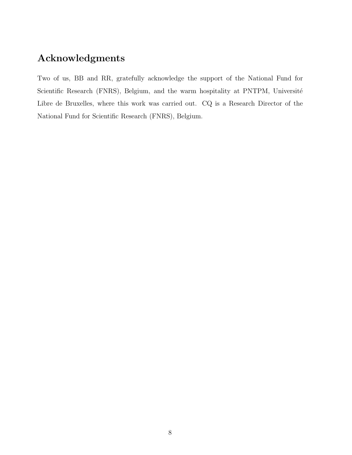## Acknowledgments

Two of us, BB and RR, gratefully acknowledge the support of the National Fund for Scientific Research (FNRS), Belgium, and the warm hospitality at PNTPM, Université Libre de Bruxelles, where this work was carried out. CQ is a Research Director of the National Fund for Scientific Research (FNRS), Belgium.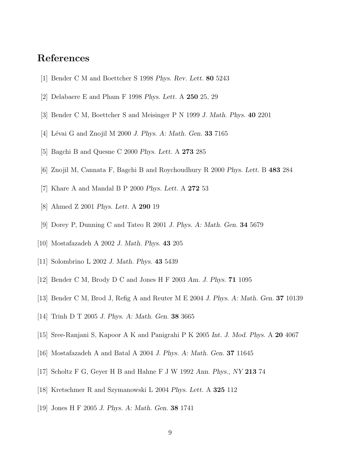## <span id="page-8-0"></span>References

- <span id="page-8-1"></span>[1] Bender C M and Boettcher S 1998 *Phys. Rev. Lett.* 80 5243
- <span id="page-8-2"></span>[2] Delabaere E and Pham F 1998 *Phys. Lett.* A 250 25, 29
- <span id="page-8-3"></span>[3] Bender C M, Boettcher S and Meisinger P N 1999 *J. Math. Phys.* 40 2201
- <span id="page-8-4"></span>[4] L´evai G and Znojil M 2000 *J. Phys. A: Math. Gen.* 33 7165
- <span id="page-8-5"></span>[5] Bagchi B and Quesne C 2000 *Phys. Lett.* A 273 285
- <span id="page-8-6"></span>[6] Znojil M, Cannata F, Bagchi B and Roychoudhury R 2000 *Phys. Lett.* B 483 284
- <span id="page-8-7"></span>[7] Khare A and Mandal B P 2000 *Phys. Lett.* A 272 53
- <span id="page-8-8"></span>[8] Ahmed Z 2001 *Phys. Lett.* A 290 19
- <span id="page-8-9"></span>[9] Dorey P, Dunning C and Tateo R 2001 *J. Phys. A: Math. Gen.* 34 5679
- <span id="page-8-10"></span>[10] Mostafazadeh A 2002 *J. Math. Phys.* 43 205
- <span id="page-8-11"></span>[11] Solombrino L 2002 *J. Math. Phys.* 43 5439
- <span id="page-8-12"></span>[12] Bender C M, Brody D C and Jones H F 2003 *Am. J. Phys.* 71 1095
- <span id="page-8-13"></span>[13] Bender C M, Brod J, Refig A and Reuter M E 2004 *J. Phys. A: Math. Gen.* 37 10139
- <span id="page-8-14"></span>[14] Trinh D T 2005 *J. Phys. A: Math. Gen.* 38 3665
- <span id="page-8-15"></span>[15] Sree-Ranjani S, Kapoor A K and Panigrahi P K 2005 *Int. J. Mod. Phys.* A 20 4067
- <span id="page-8-16"></span>[16] Mostafazadeh A and Batal A 2004 *J. Phys. A: Math. Gen.* 37 11645
- <span id="page-8-17"></span>[17] Scholtz F G, Geyer H B and Hahne F J W 1992 *Ann. Phys., NY* 213 74
- <span id="page-8-18"></span>[18] Kretschmer R and Szymanowski L 2004 *Phys. Lett.* A 325 112
- [19] Jones H F 2005 *J. Phys. A: Math. Gen.* 38 1741